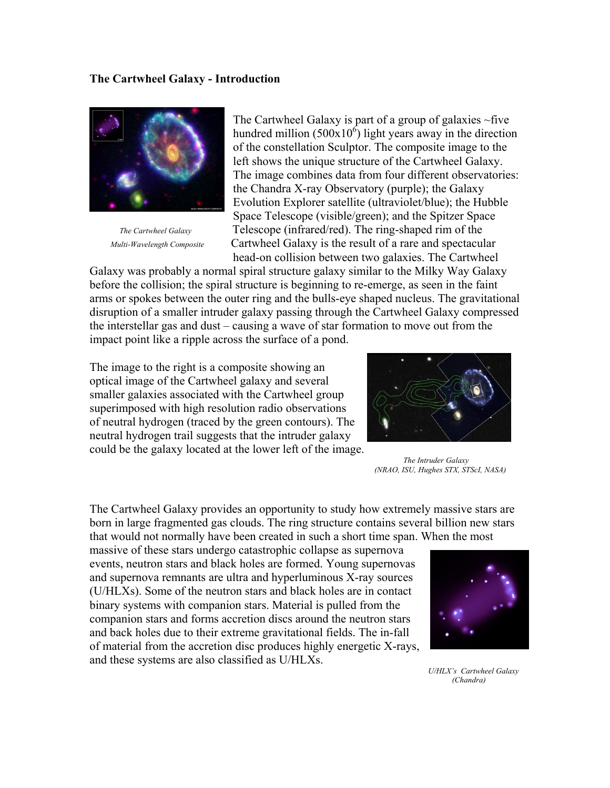## **The Cartwheel Galaxy - Introduction**



The Cartwheel Galaxy is part of a group of galaxies  $\sim$  five hundred million  $(500 \times 10^6)$  light years away in the direction of the constellation Sculptor. The composite image to the left shows the unique structure of the Cartwheel Galaxy. The image combines data from four different observatories: the Chandra X-ray Observatory (purple); the Galaxy Evolution Explorer satellite (ultraviolet/blue); the Hubble Space Telescope (visible/green); and the Spitzer Space *The Cartwheel Galaxy* Telescope (infrared/red). The ring-shaped rim of the *Multi-Wavelength Composite* Cartwheel Galaxy is the result of a rare and spectacular head-on collision between two galaxies. The Cartwheel

Galaxy was probably a normal spiral structure galaxy similar to the Milky Way Galaxy before the collision; the spiral structure is beginning to re-emerge, as seen in the faint arms or spokes between the outer ring and the bulls-eye shaped nucleus. The gravitational disruption of a smaller intruder galaxy passing through the Cartwheel Galaxy compressed the interstellar gas and dust – causing a wave of star formation to move out from the impact point like a ripple across the surface of a pond.

The image to the right is a composite showing [an](http://apod.nasa.gov/apod/ap950810.html)  [optical image](http://apod.nasa.gov/apod/ap950810.html) of the Cartwheel galaxy and several smaller galaxies associated with the Cartwheel group superimposed [with high resolution](http://apod.nasa.gov/apod/ap960621.html) [radio observations](http://apod.nasa.gov/apod/ap961218.html)  [of neutral hydrogen](http://apod.nasa.gov/apod/ap961218.html) (traced by the green contours). [The](http://adsbit.harvard.edu/cgi-bin/nph-article_query?bibcode=1996ApJ%2E%2E%2E467%2E%2E241H&page=1&plate_select=NO&type=GIF)  [neutral hydrogen trail suggests that the intruder](http://adsbit.harvard.edu/cgi-bin/nph-article_query?bibcode=1996ApJ%2E%2E%2E467%2E%2E241H&page=1&plate_select=NO&type=GIF) galaxy could be the galaxy located at the lower left of the image.



*The Intruder Galaxy (NRAO, ISU, Hughes STX, STScI, NASA)* 

The Cartwheel Galaxy provides an opportunity to study how extremely massive stars are born in large fragmented gas clouds. The ring structure contains several billion new stars that would not normally have been created in such a short time span. When the most

massive of these stars undergo catastrophic collapse as supernova events, neutron stars and black holes are formed. Young supernovas and supernova remnants are ultra and hyperluminous X-ray sources (U/HLXs). Some of the neutron stars and black holes are in contact binary systems with companion stars. Material is pulled from the companion stars and forms accretion discs around the neutron stars and back holes due to their extreme gravitational fields. The in-fall of material from the accretion disc produces highly energetic X-rays, and these systems are also classified as U/HLXs.



 *U/HLX's Cartwheel Galaxy (Chandra)*